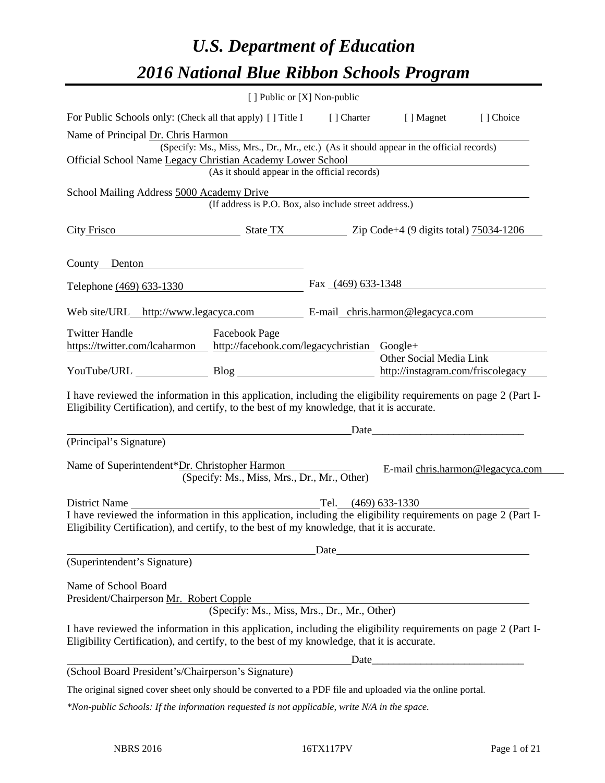# *U.S. Department of Education 2016 National Blue Ribbon Schools Program*

|                                                                                                                                                                                                              | $\lceil$ Public or $[X]$ Non-public                                                                                                                                                  |                      |                                  |           |
|--------------------------------------------------------------------------------------------------------------------------------------------------------------------------------------------------------------|--------------------------------------------------------------------------------------------------------------------------------------------------------------------------------------|----------------------|----------------------------------|-----------|
| For Public Schools only: (Check all that apply) [] Title I [] Charter                                                                                                                                        |                                                                                                                                                                                      |                      | [ ] Magnet                       | [] Choice |
| Name of Principal Dr. Chris Harmon                                                                                                                                                                           |                                                                                                                                                                                      |                      |                                  |           |
|                                                                                                                                                                                                              | (Specify: Ms., Miss, Mrs., Dr., Mr., etc.) (As it should appear in the official records)                                                                                             |                      |                                  |           |
| Official School Name Legacy Christian Academy Lower School                                                                                                                                                   |                                                                                                                                                                                      |                      |                                  |           |
|                                                                                                                                                                                                              | (As it should appear in the official records)                                                                                                                                        |                      |                                  |           |
| School Mailing Address 5000 Academy Drive                                                                                                                                                                    |                                                                                                                                                                                      |                      |                                  |           |
|                                                                                                                                                                                                              | (If address is P.O. Box, also include street address.)                                                                                                                               |                      |                                  |           |
| City Frisco State TX Zip Code+4 (9 digits total) 75034-1206                                                                                                                                                  |                                                                                                                                                                                      |                      |                                  |           |
| County Denton                                                                                                                                                                                                |                                                                                                                                                                                      |                      |                                  |           |
| Telephone (469) 633-1330                                                                                                                                                                                     |                                                                                                                                                                                      | Fax $(469)$ 633-1348 |                                  |           |
| Web site/URL_http://www.legacyca.com E-mail_chris.harmon@legacyca.com                                                                                                                                        |                                                                                                                                                                                      |                      |                                  |           |
| <b>Twitter Handle</b>                                                                                                                                                                                        | <b>Facebook Page</b>                                                                                                                                                                 |                      |                                  |           |
| https://twitter.com/lcaharmon http://facebook.com/legacychristian Google+                                                                                                                                    |                                                                                                                                                                                      |                      |                                  |           |
|                                                                                                                                                                                                              |                                                                                                                                                                                      |                      | Other Social Media Link          |           |
| YouTube/URL Blog Blog http://instagram.com/friscolegacy                                                                                                                                                      |                                                                                                                                                                                      |                      |                                  |           |
| I have reviewed the information in this application, including the eligibility requirements on page 2 (Part I-<br>Eligibility Certification), and certify, to the best of my knowledge, that it is accurate. |                                                                                                                                                                                      |                      |                                  |           |
| (Principal's Signature)                                                                                                                                                                                      | <u>Date</u> <u>Date</u> <i>Date Date Date Date Date Date Date Date Date Date Date Date Date Date Date Date Date Date Date Date Date Date Date Date Date Date Date Date Date Date</i> |                      |                                  |           |
| Name of Superintendent*Dr. Christopher Harmon                                                                                                                                                                | (Specify: Ms., Miss, Mrs., Dr., Mr., Other)                                                                                                                                          |                      | E-mail chris.harmon@legacyca.com |           |
| District Name                                                                                                                                                                                                |                                                                                                                                                                                      | Tel. (469) 633-1330  |                                  |           |
| I have reviewed the information in this application, including the eligibility requirements on page 2 (Part I-                                                                                               |                                                                                                                                                                                      |                      |                                  |           |
| Eligibility Certification), and certify, to the best of my knowledge, that it is accurate.                                                                                                                   |                                                                                                                                                                                      |                      |                                  |           |
|                                                                                                                                                                                                              |                                                                                                                                                                                      | $\Delta$ Date        |                                  |           |
| (Superintendent's Signature)                                                                                                                                                                                 |                                                                                                                                                                                      |                      |                                  |           |
| Name of School Board                                                                                                                                                                                         |                                                                                                                                                                                      |                      |                                  |           |
| President/Chairperson Mr. Robert Copple                                                                                                                                                                      | (Specify: Ms., Miss, Mrs., Dr., Mr., Other)                                                                                                                                          |                      |                                  |           |
|                                                                                                                                                                                                              |                                                                                                                                                                                      |                      |                                  |           |
| I have reviewed the information in this application, including the eligibility requirements on page 2 (Part I-<br>Eligibility Certification), and certify, to the best of my knowledge, that it is accurate. |                                                                                                                                                                                      |                      |                                  |           |
|                                                                                                                                                                                                              |                                                                                                                                                                                      | Date                 |                                  |           |
| (School Board President's/Chairperson's Signature)                                                                                                                                                           |                                                                                                                                                                                      |                      |                                  |           |
| The original signed cover sheet only should be converted to a PDF file and uploaded via the online portal.                                                                                                   |                                                                                                                                                                                      |                      |                                  |           |
| $*$ Non-public Schools: If the information requested is not applicable, write $N/A$ in the space.                                                                                                            |                                                                                                                                                                                      |                      |                                  |           |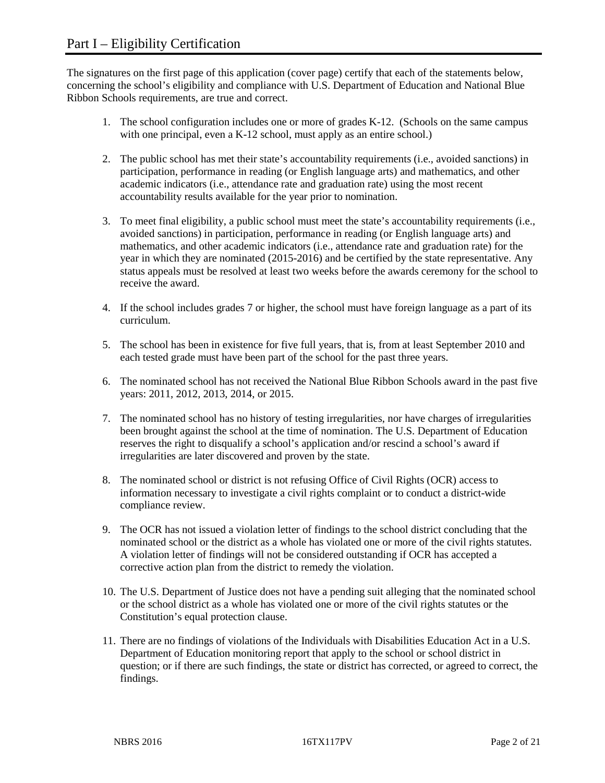The signatures on the first page of this application (cover page) certify that each of the statements below, concerning the school's eligibility and compliance with U.S. Department of Education and National Blue Ribbon Schools requirements, are true and correct.

- 1. The school configuration includes one or more of grades K-12. (Schools on the same campus with one principal, even a K-12 school, must apply as an entire school.)
- 2. The public school has met their state's accountability requirements (i.e., avoided sanctions) in participation, performance in reading (or English language arts) and mathematics, and other academic indicators (i.e., attendance rate and graduation rate) using the most recent accountability results available for the year prior to nomination.
- 3. To meet final eligibility, a public school must meet the state's accountability requirements (i.e., avoided sanctions) in participation, performance in reading (or English language arts) and mathematics, and other academic indicators (i.e., attendance rate and graduation rate) for the year in which they are nominated (2015-2016) and be certified by the state representative. Any status appeals must be resolved at least two weeks before the awards ceremony for the school to receive the award.
- 4. If the school includes grades 7 or higher, the school must have foreign language as a part of its curriculum.
- 5. The school has been in existence for five full years, that is, from at least September 2010 and each tested grade must have been part of the school for the past three years.
- 6. The nominated school has not received the National Blue Ribbon Schools award in the past five years: 2011, 2012, 2013, 2014, or 2015.
- 7. The nominated school has no history of testing irregularities, nor have charges of irregularities been brought against the school at the time of nomination. The U.S. Department of Education reserves the right to disqualify a school's application and/or rescind a school's award if irregularities are later discovered and proven by the state.
- 8. The nominated school or district is not refusing Office of Civil Rights (OCR) access to information necessary to investigate a civil rights complaint or to conduct a district-wide compliance review.
- 9. The OCR has not issued a violation letter of findings to the school district concluding that the nominated school or the district as a whole has violated one or more of the civil rights statutes. A violation letter of findings will not be considered outstanding if OCR has accepted a corrective action plan from the district to remedy the violation.
- 10. The U.S. Department of Justice does not have a pending suit alleging that the nominated school or the school district as a whole has violated one or more of the civil rights statutes or the Constitution's equal protection clause.
- 11. There are no findings of violations of the Individuals with Disabilities Education Act in a U.S. Department of Education monitoring report that apply to the school or school district in question; or if there are such findings, the state or district has corrected, or agreed to correct, the findings.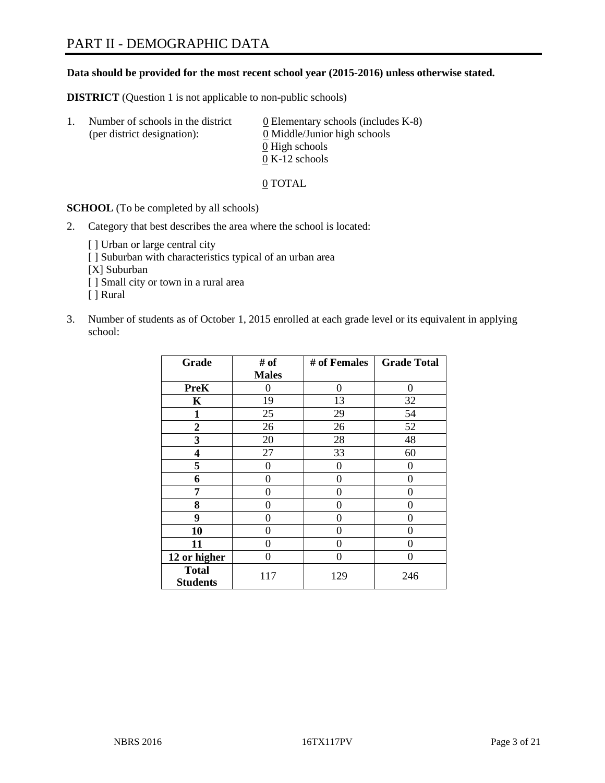#### **Data should be provided for the most recent school year (2015-2016) unless otherwise stated.**

**DISTRICT** (Question 1 is not applicable to non-public schools)

| $\mathbf{L}$ | Number of schools in the district<br>(per district designation): | $\underline{0}$ Elementary schools (includes K-8)<br>0 Middle/Junior high schools<br>0 High schools |
|--------------|------------------------------------------------------------------|-----------------------------------------------------------------------------------------------------|
|              |                                                                  | $0 K-12$ schools                                                                                    |

0 TOTAL

**SCHOOL** (To be completed by all schools)

- 2. Category that best describes the area where the school is located:
	- [] Urban or large central city [ ] Suburban with characteristics typical of an urban area [X] Suburban [ ] Small city or town in a rural area [ ] Rural
- 3. Number of students as of October 1, 2015 enrolled at each grade level or its equivalent in applying school:

| Grade                           | # of         | # of Females | <b>Grade Total</b> |
|---------------------------------|--------------|--------------|--------------------|
|                                 | <b>Males</b> |              |                    |
| <b>PreK</b>                     | 0            | $\theta$     | 0                  |
| $\mathbf K$                     | 19           | 13           | 32                 |
| 1                               | 25           | 29           | 54                 |
| 2                               | 26           | 26           | 52                 |
| 3                               | 20           | 28           | 48                 |
| 4                               | 27           | 33           | 60                 |
| 5                               | 0            | 0            | 0                  |
| 6                               | 0            | 0            | 0                  |
| 7                               | 0            | 0            | 0                  |
| 8                               | 0            | 0            | 0                  |
| 9                               | 0            | 0            | 0                  |
| 10                              | 0            | 0            | 0                  |
| 11                              | 0            | 0            | 0                  |
| 12 or higher                    | 0            | 0            | 0                  |
| <b>Total</b><br><b>Students</b> | 117          | 129          | 246                |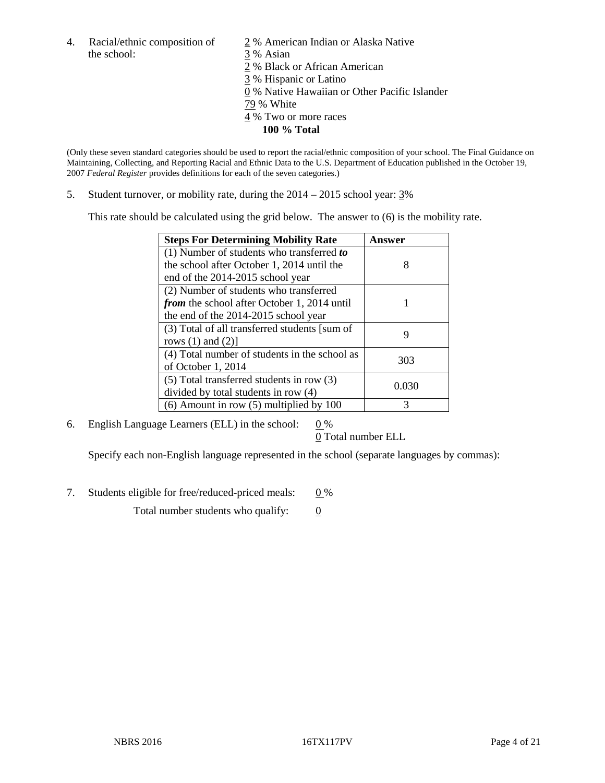4. Racial/ethnic composition of 2 % American Indian or Alaska Native the school: 3 % Asian

 % Black or African American % Hispanic or Latino % Native Hawaiian or Other Pacific Islander 79 % White % Two or more races **100 % Total**

(Only these seven standard categories should be used to report the racial/ethnic composition of your school. The Final Guidance on Maintaining, Collecting, and Reporting Racial and Ethnic Data to the U.S. Department of Education published in the October 19, 2007 *Federal Register* provides definitions for each of the seven categories.)

5. Student turnover, or mobility rate, during the  $2014 - 2015$  school year:  $3\%$ 

This rate should be calculated using the grid below. The answer to (6) is the mobility rate.

| <b>Steps For Determining Mobility Rate</b>         | <b>Answer</b> |
|----------------------------------------------------|---------------|
| (1) Number of students who transferred to          |               |
| the school after October 1, 2014 until the         | 8             |
| end of the 2014-2015 school year                   |               |
| (2) Number of students who transferred             |               |
| <i>from</i> the school after October 1, 2014 until |               |
| the end of the 2014-2015 school year               |               |
| (3) Total of all transferred students [sum of      | 9             |
| rows $(1)$ and $(2)$ ]                             |               |
| (4) Total number of students in the school as      | 303           |
| of October 1, 2014                                 |               |
| $(5)$ Total transferred students in row $(3)$      |               |
| divided by total students in row (4)               | 0.030         |
| $(6)$ Amount in row $(5)$ multiplied by 100        | 3             |

6. English Language Learners (ELL) in the school:  $0\%$ 

0 Total number ELL

Specify each non-English language represented in the school (separate languages by commas):

7. Students eligible for free/reduced-priced meals:  $0\%$ 

Total number students who qualify:  $\qquad 0$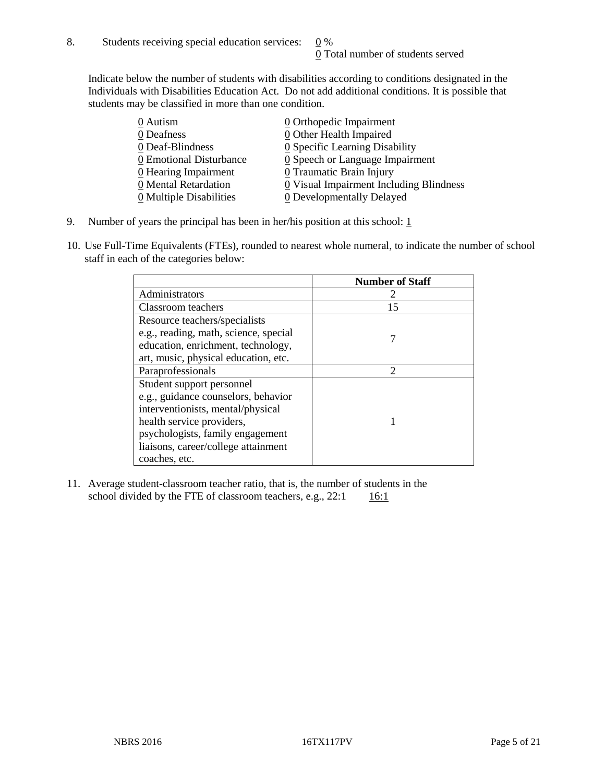Indicate below the number of students with disabilities according to conditions designated in the Individuals with Disabilities Education Act. Do not add additional conditions. It is possible that students may be classified in more than one condition.

| 0 Autism                              | 0 Orthopedic Impairment                       |
|---------------------------------------|-----------------------------------------------|
| 0 Deafness                            | 0 Other Health Impaired                       |
| 0 Deaf-Blindness                      | 0 Specific Learning Disability                |
| 0 Emotional Disturbance               | $\underline{0}$ Speech or Language Impairment |
| $\underline{0}$ Hearing Impairment    | 0 Traumatic Brain Injury                      |
| 0 Mental Retardation                  | 0 Visual Impairment Including Blindness       |
| $\underline{0}$ Multiple Disabilities | <b>0</b> Developmentally Delayed              |

- 9. Number of years the principal has been in her/his position at this school:  $1 \overline{1}$
- 10. Use Full-Time Equivalents (FTEs), rounded to nearest whole numeral, to indicate the number of school staff in each of the categories below:

|                                       | <b>Number of Staff</b> |
|---------------------------------------|------------------------|
| Administrators                        |                        |
| Classroom teachers                    | 15                     |
| Resource teachers/specialists         |                        |
| e.g., reading, math, science, special |                        |
| education, enrichment, technology,    |                        |
| art, music, physical education, etc.  |                        |
| Paraprofessionals                     | $\mathfrak{D}$         |
| Student support personnel             |                        |
| e.g., guidance counselors, behavior   |                        |
| interventionists, mental/physical     |                        |
| health service providers,             |                        |
| psychologists, family engagement      |                        |
| liaisons, career/college attainment   |                        |
| coaches, etc.                         |                        |

11. Average student-classroom teacher ratio, that is, the number of students in the school divided by the FTE of classroom teachers, e.g.,  $22:1$  16:1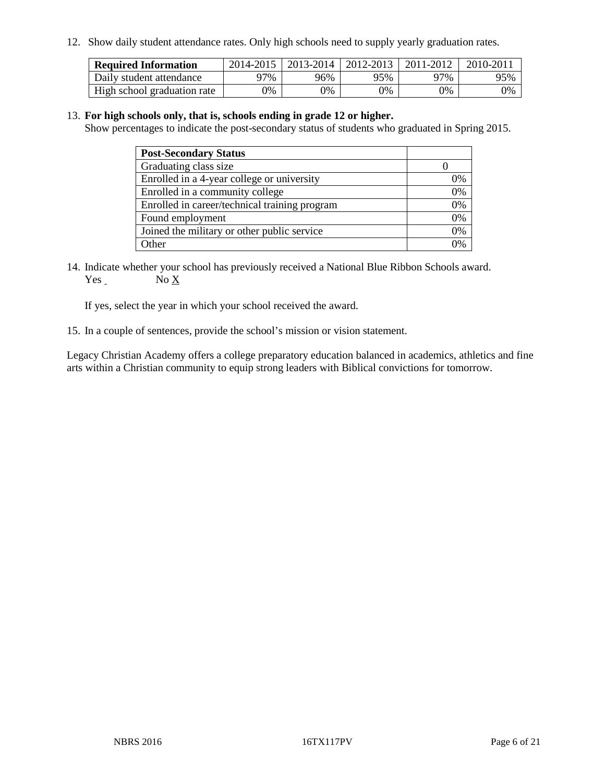12. Show daily student attendance rates. Only high schools need to supply yearly graduation rates.

| <b>Required Information</b> |     | 2014-2015   2013-2014   2012-2013 |       | 2011-2012 | 2010-2011 |
|-----------------------------|-----|-----------------------------------|-------|-----------|-----------|
| Daily student attendance    | 97% | 96%                               | 95%   | 77%       | 95%       |
| High school graduation rate | 0%  | 0%                                | $0\%$ | 9%        | 0%        |

#### 13. **For high schools only, that is, schools ending in grade 12 or higher.**

Show percentages to indicate the post-secondary status of students who graduated in Spring 2015.

| <b>Post-Secondary Status</b>                  |    |
|-----------------------------------------------|----|
| Graduating class size                         |    |
| Enrolled in a 4-year college or university    | 0% |
| Enrolled in a community college               | 0% |
| Enrolled in career/technical training program | 0% |
| Found employment                              | 0% |
| Joined the military or other public service   | 0% |
| Other                                         |    |

14. Indicate whether your school has previously received a National Blue Ribbon Schools award. Yes No X

If yes, select the year in which your school received the award.

15. In a couple of sentences, provide the school's mission or vision statement.

Legacy Christian Academy offers a college preparatory education balanced in academics, athletics and fine arts within a Christian community to equip strong leaders with Biblical convictions for tomorrow.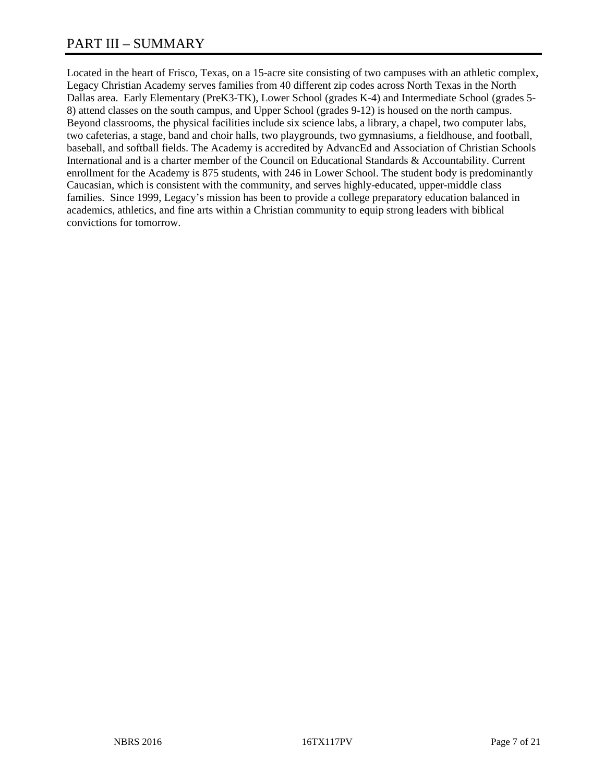# PART III – SUMMARY

Located in the heart of Frisco, Texas, on a 15-acre site consisting of two campuses with an athletic complex, Legacy Christian Academy serves families from 40 different zip codes across North Texas in the North Dallas area. Early Elementary (PreK3-TK), Lower School (grades K-4) and Intermediate School (grades 5- 8) attend classes on the south campus, and Upper School (grades 9-12) is housed on the north campus. Beyond classrooms, the physical facilities include six science labs, a library, a chapel, two computer labs, two cafeterias, a stage, band and choir halls, two playgrounds, two gymnasiums, a fieldhouse, and football, baseball, and softball fields. The Academy is accredited by AdvancEd and Association of Christian Schools International and is a charter member of the Council on Educational Standards & Accountability. Current enrollment for the Academy is 875 students, with 246 in Lower School. The student body is predominantly Caucasian, which is consistent with the community, and serves highly-educated, upper-middle class families. Since 1999, Legacy's mission has been to provide a college preparatory education balanced in academics, athletics, and fine arts within a Christian community to equip strong leaders with biblical convictions for tomorrow.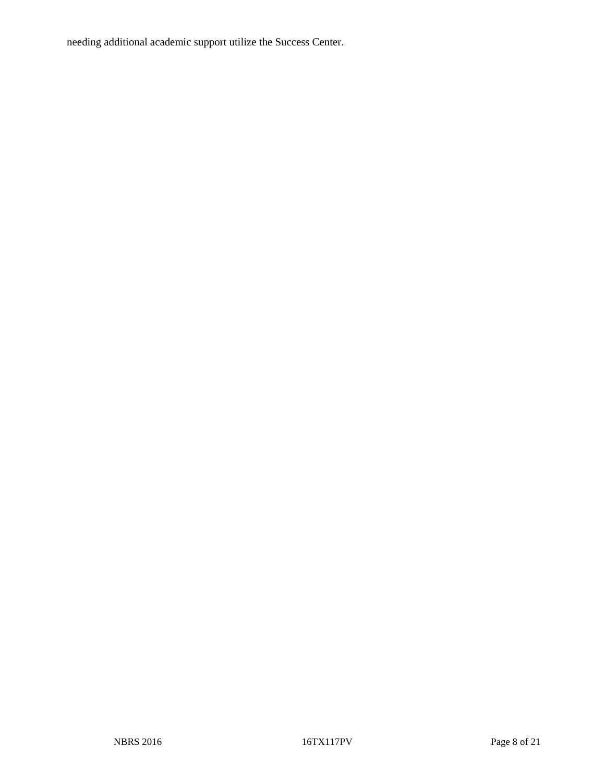needing additional academic support utilize the Success Center.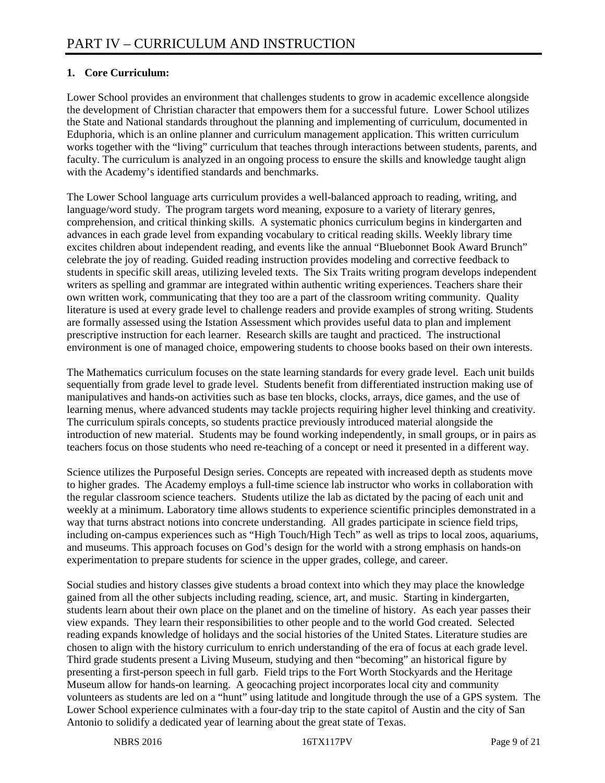# **1. Core Curriculum:**

Lower School provides an environment that challenges students to grow in academic excellence alongside the development of Christian character that empowers them for a successful future. Lower School utilizes the State and National standards throughout the planning and implementing of curriculum, documented in Eduphoria, which is an online planner and curriculum management application. This written curriculum works together with the "living" curriculum that teaches through interactions between students, parents, and faculty. The curriculum is analyzed in an ongoing process to ensure the skills and knowledge taught align with the Academy's identified standards and benchmarks.

The Lower School language arts curriculum provides a well-balanced approach to reading, writing, and language/word study. The program targets word meaning, exposure to a variety of literary genres, comprehension, and critical thinking skills. A systematic phonics curriculum begins in kindergarten and advances in each grade level from expanding vocabulary to critical reading skills. Weekly library time excites children about independent reading, and events like the annual "Bluebonnet Book Award Brunch" celebrate the joy of reading. Guided reading instruction provides modeling and corrective feedback to students in specific skill areas, utilizing leveled texts. The Six Traits writing program develops independent writers as spelling and grammar are integrated within authentic writing experiences. Teachers share their own written work, communicating that they too are a part of the classroom writing community. Quality literature is used at every grade level to challenge readers and provide examples of strong writing. Students are formally assessed using the Istation Assessment which provides useful data to plan and implement prescriptive instruction for each learner. Research skills are taught and practiced. The instructional environment is one of managed choice, empowering students to choose books based on their own interests.

The Mathematics curriculum focuses on the state learning standards for every grade level. Each unit builds sequentially from grade level to grade level. Students benefit from differentiated instruction making use of manipulatives and hands-on activities such as base ten blocks, clocks, arrays, dice games, and the use of learning menus, where advanced students may tackle projects requiring higher level thinking and creativity. The curriculum spirals concepts, so students practice previously introduced material alongside the introduction of new material. Students may be found working independently, in small groups, or in pairs as teachers focus on those students who need re-teaching of a concept or need it presented in a different way.

Science utilizes the Purposeful Design series. Concepts are repeated with increased depth as students move to higher grades. The Academy employs a full-time science lab instructor who works in collaboration with the regular classroom science teachers. Students utilize the lab as dictated by the pacing of each unit and weekly at a minimum. Laboratory time allows students to experience scientific principles demonstrated in a way that turns abstract notions into concrete understanding. All grades participate in science field trips, including on-campus experiences such as "High Touch/High Tech" as well as trips to local zoos, aquariums, and museums. This approach focuses on God's design for the world with a strong emphasis on hands-on experimentation to prepare students for science in the upper grades, college, and career.

Social studies and history classes give students a broad context into which they may place the knowledge gained from all the other subjects including reading, science, art, and music. Starting in kindergarten, students learn about their own place on the planet and on the timeline of history. As each year passes their view expands. They learn their responsibilities to other people and to the world God created. Selected reading expands knowledge of holidays and the social histories of the United States. Literature studies are chosen to align with the history curriculum to enrich understanding of the era of focus at each grade level. Third grade students present a Living Museum, studying and then "becoming" an historical figure by presenting a first-person speech in full garb. Field trips to the Fort Worth Stockyards and the Heritage Museum allow for hands-on learning. A geocaching project incorporates local city and community volunteers as students are led on a "hunt" using latitude and longitude through the use of a GPS system. The Lower School experience culminates with a four-day trip to the state capitol of Austin and the city of San Antonio to solidify a dedicated year of learning about the great state of Texas.

NBRS 2016 **Page 9 of 21 Page 9 of 21 Page 9 of 21**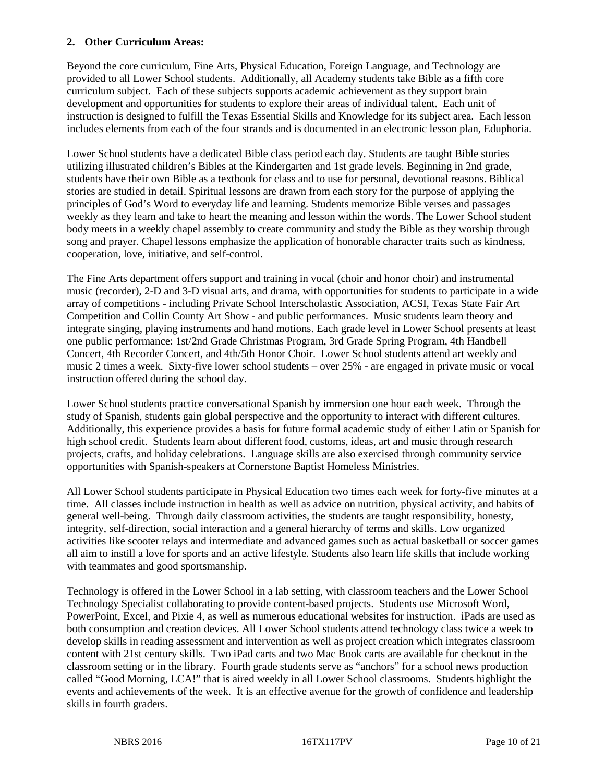#### **2. Other Curriculum Areas:**

Beyond the core curriculum, Fine Arts, Physical Education, Foreign Language, and Technology are provided to all Lower School students. Additionally, all Academy students take Bible as a fifth core curriculum subject. Each of these subjects supports academic achievement as they support brain development and opportunities for students to explore their areas of individual talent. Each unit of instruction is designed to fulfill the Texas Essential Skills and Knowledge for its subject area. Each lesson includes elements from each of the four strands and is documented in an electronic lesson plan, Eduphoria.

Lower School students have a dedicated Bible class period each day. Students are taught Bible stories utilizing illustrated children's Bibles at the Kindergarten and 1st grade levels. Beginning in 2nd grade, students have their own Bible as a textbook for class and to use for personal, devotional reasons. Biblical stories are studied in detail. Spiritual lessons are drawn from each story for the purpose of applying the principles of God's Word to everyday life and learning. Students memorize Bible verses and passages weekly as they learn and take to heart the meaning and lesson within the words. The Lower School student body meets in a weekly chapel assembly to create community and study the Bible as they worship through song and prayer. Chapel lessons emphasize the application of honorable character traits such as kindness, cooperation, love, initiative, and self-control.

The Fine Arts department offers support and training in vocal (choir and honor choir) and instrumental music (recorder), 2-D and 3-D visual arts, and drama, with opportunities for students to participate in a wide array of competitions - including Private School Interscholastic Association, ACSI, Texas State Fair Art Competition and Collin County Art Show - and public performances. Music students learn theory and integrate singing, playing instruments and hand motions. Each grade level in Lower School presents at least one public performance: 1st/2nd Grade Christmas Program, 3rd Grade Spring Program, 4th Handbell Concert, 4th Recorder Concert, and 4th/5th Honor Choir. Lower School students attend art weekly and music 2 times a week. Sixty-five lower school students – over 25% - are engaged in private music or vocal instruction offered during the school day.

Lower School students practice conversational Spanish by immersion one hour each week. Through the study of Spanish, students gain global perspective and the opportunity to interact with different cultures. Additionally, this experience provides a basis for future formal academic study of either Latin or Spanish for high school credit. Students learn about different food, customs, ideas, art and music through research projects, crafts, and holiday celebrations. Language skills are also exercised through community service opportunities with Spanish-speakers at Cornerstone Baptist Homeless Ministries.

All Lower School students participate in Physical Education two times each week for forty-five minutes at a time. All classes include instruction in health as well as advice on nutrition, physical activity, and habits of general well-being. Through daily classroom activities, the students are taught responsibility, honesty, integrity, self-direction, social interaction and a general hierarchy of terms and skills. Low organized activities like scooter relays and intermediate and advanced games such as actual basketball or soccer games all aim to instill a love for sports and an active lifestyle. Students also learn life skills that include working with teammates and good sportsmanship.

Technology is offered in the Lower School in a lab setting, with classroom teachers and the Lower School Technology Specialist collaborating to provide content-based projects. Students use Microsoft Word, PowerPoint, Excel, and Pixie 4, as well as numerous educational websites for instruction. iPads are used as both consumption and creation devices. All Lower School students attend technology class twice a week to develop skills in reading assessment and intervention as well as project creation which integrates classroom content with 21st century skills. Two iPad carts and two Mac Book carts are available for checkout in the classroom setting or in the library. Fourth grade students serve as "anchors" for a school news production called "Good Morning, LCA!" that is aired weekly in all Lower School classrooms. Students highlight the events and achievements of the week. It is an effective avenue for the growth of confidence and leadership skills in fourth graders.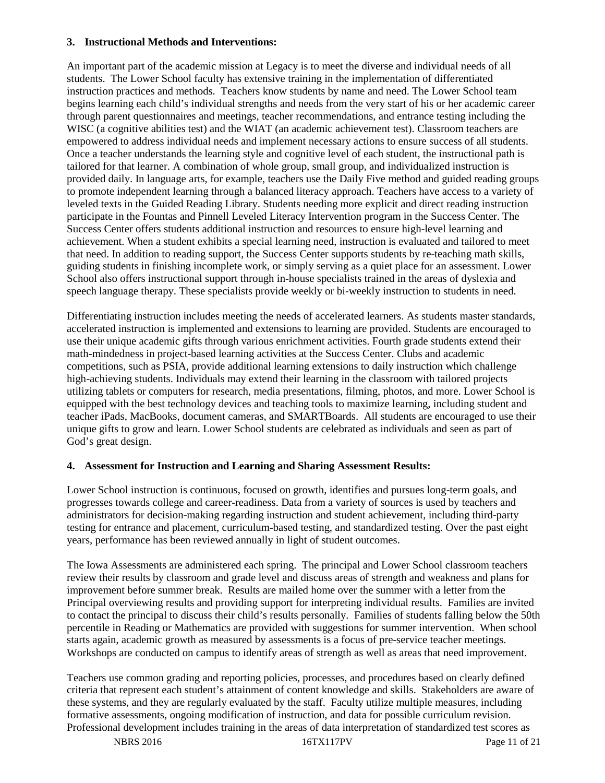#### **3. Instructional Methods and Interventions:**

An important part of the academic mission at Legacy is to meet the diverse and individual needs of all students. The Lower School faculty has extensive training in the implementation of differentiated instruction practices and methods. Teachers know students by name and need. The Lower School team begins learning each child's individual strengths and needs from the very start of his or her academic career through parent questionnaires and meetings, teacher recommendations, and entrance testing including the WISC (a cognitive abilities test) and the WIAT (an academic achievement test). Classroom teachers are empowered to address individual needs and implement necessary actions to ensure success of all students. Once a teacher understands the learning style and cognitive level of each student, the instructional path is tailored for that learner. A combination of whole group, small group, and individualized instruction is provided daily. In language arts, for example, teachers use the Daily Five method and guided reading groups to promote independent learning through a balanced literacy approach. Teachers have access to a variety of leveled texts in the Guided Reading Library. Students needing more explicit and direct reading instruction participate in the Fountas and Pinnell Leveled Literacy Intervention program in the Success Center. The Success Center offers students additional instruction and resources to ensure high-level learning and achievement. When a student exhibits a special learning need, instruction is evaluated and tailored to meet that need. In addition to reading support, the Success Center supports students by re-teaching math skills, guiding students in finishing incomplete work, or simply serving as a quiet place for an assessment. Lower School also offers instructional support through in-house specialists trained in the areas of dyslexia and speech language therapy. These specialists provide weekly or bi-weekly instruction to students in need.

Differentiating instruction includes meeting the needs of accelerated learners. As students master standards, accelerated instruction is implemented and extensions to learning are provided. Students are encouraged to use their unique academic gifts through various enrichment activities. Fourth grade students extend their math-mindedness in project-based learning activities at the Success Center. Clubs and academic competitions, such as PSIA, provide additional learning extensions to daily instruction which challenge high-achieving students. Individuals may extend their learning in the classroom with tailored projects utilizing tablets or computers for research, media presentations, filming, photos, and more. Lower School is equipped with the best technology devices and teaching tools to maximize learning, including student and teacher iPads, MacBooks, document cameras, and SMARTBoards. All students are encouraged to use their unique gifts to grow and learn. Lower School students are celebrated as individuals and seen as part of God's great design.

#### **4. Assessment for Instruction and Learning and Sharing Assessment Results:**

Lower School instruction is continuous, focused on growth, identifies and pursues long-term goals, and progresses towards college and career-readiness. Data from a variety of sources is used by teachers and administrators for decision-making regarding instruction and student achievement, including third-party testing for entrance and placement, curriculum-based testing, and standardized testing. Over the past eight years, performance has been reviewed annually in light of student outcomes.

The Iowa Assessments are administered each spring. The principal and Lower School classroom teachers review their results by classroom and grade level and discuss areas of strength and weakness and plans for improvement before summer break. Results are mailed home over the summer with a letter from the Principal overviewing results and providing support for interpreting individual results. Families are invited to contact the principal to discuss their child's results personally. Families of students falling below the 50th percentile in Reading or Mathematics are provided with suggestions for summer intervention. When school starts again, academic growth as measured by assessments is a focus of pre-service teacher meetings. Workshops are conducted on campus to identify areas of strength as well as areas that need improvement.

Teachers use common grading and reporting policies, processes, and procedures based on clearly defined criteria that represent each student's attainment of content knowledge and skills. Stakeholders are aware of these systems, and they are regularly evaluated by the staff. Faculty utilize multiple measures, including formative assessments, ongoing modification of instruction, and data for possible curriculum revision. Professional development includes training in the areas of data interpretation of standardized test scores as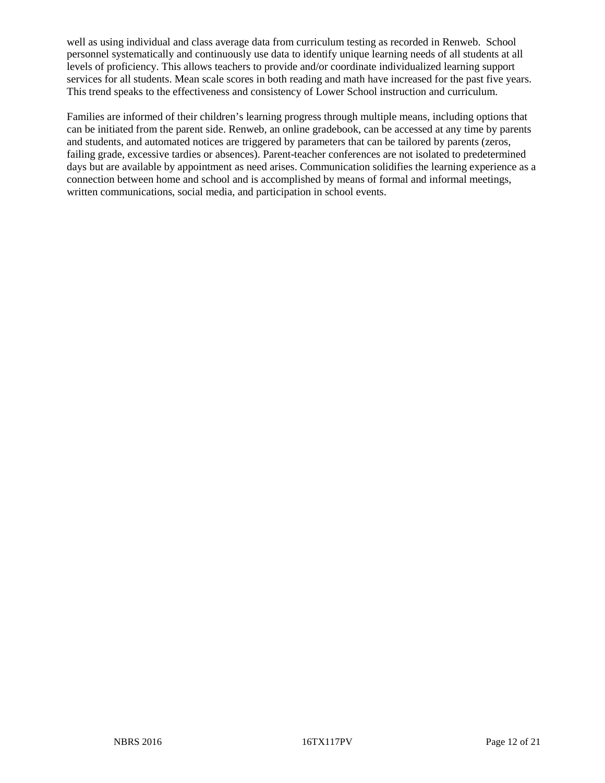well as using individual and class average data from curriculum testing as recorded in Renweb. School personnel systematically and continuously use data to identify unique learning needs of all students at all levels of proficiency. This allows teachers to provide and/or coordinate individualized learning support services for all students. Mean scale scores in both reading and math have increased for the past five years. This trend speaks to the effectiveness and consistency of Lower School instruction and curriculum.

Families are informed of their children's learning progress through multiple means, including options that can be initiated from the parent side. Renweb, an online gradebook, can be accessed at any time by parents and students, and automated notices are triggered by parameters that can be tailored by parents (zeros, failing grade, excessive tardies or absences). Parent-teacher conferences are not isolated to predetermined days but are available by appointment as need arises. Communication solidifies the learning experience as a connection between home and school and is accomplished by means of formal and informal meetings, written communications, social media, and participation in school events.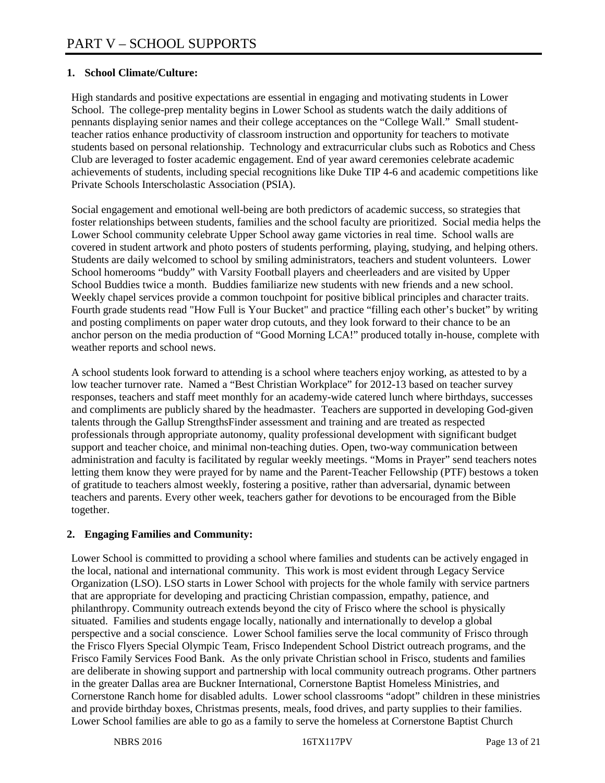## **1. School Climate/Culture:**

High standards and positive expectations are essential in engaging and motivating students in Lower School. The college-prep mentality begins in Lower School as students watch the daily additions of pennants displaying senior names and their college acceptances on the "College Wall." Small studentteacher ratios enhance productivity of classroom instruction and opportunity for teachers to motivate students based on personal relationship. Technology and extracurricular clubs such as Robotics and Chess Club are leveraged to foster academic engagement. End of year award ceremonies celebrate academic achievements of students, including special recognitions like Duke TIP 4-6 and academic competitions like Private Schools Interscholastic Association (PSIA).

Social engagement and emotional well-being are both predictors of academic success, so strategies that foster relationships between students, families and the school faculty are prioritized. Social media helps the Lower School community celebrate Upper School away game victories in real time. School walls are covered in student artwork and photo posters of students performing, playing, studying, and helping others. Students are daily welcomed to school by smiling administrators, teachers and student volunteers. Lower School homerooms "buddy" with Varsity Football players and cheerleaders and are visited by Upper School Buddies twice a month. Buddies familiarize new students with new friends and a new school. Weekly chapel services provide a common touchpoint for positive biblical principles and character traits. Fourth grade students read "How Full is Your Bucket" and practice "filling each other's bucket" by writing and posting compliments on paper water drop cutouts, and they look forward to their chance to be an anchor person on the media production of "Good Morning LCA!" produced totally in-house, complete with weather reports and school news.

A school students look forward to attending is a school where teachers enjoy working, as attested to by a low teacher turnover rate. Named a "Best Christian Workplace" for 2012-13 based on teacher survey responses, teachers and staff meet monthly for an academy-wide catered lunch where birthdays, successes and compliments are publicly shared by the headmaster. Teachers are supported in developing God-given talents through the Gallup StrengthsFinder assessment and training and are treated as respected professionals through appropriate autonomy, quality professional development with significant budget support and teacher choice, and minimal non-teaching duties. Open, two-way communication between administration and faculty is facilitated by regular weekly meetings. "Moms in Prayer" send teachers notes letting them know they were prayed for by name and the Parent-Teacher Fellowship (PTF) bestows a token of gratitude to teachers almost weekly, fostering a positive, rather than adversarial, dynamic between teachers and parents. Every other week, teachers gather for devotions to be encouraged from the Bible together.

## **2. Engaging Families and Community:**

Lower School is committed to providing a school where families and students can be actively engaged in the local, national and international community. This work is most evident through Legacy Service Organization (LSO). LSO starts in Lower School with projects for the whole family with service partners that are appropriate for developing and practicing Christian compassion, empathy, patience, and philanthropy. Community outreach extends beyond the city of Frisco where the school is physically situated. Families and students engage locally, nationally and internationally to develop a global perspective and a social conscience. Lower School families serve the local community of Frisco through the Frisco Flyers Special Olympic Team, Frisco Independent School District outreach programs, and the Frisco Family Services Food Bank. As the only private Christian school in Frisco, students and families are deliberate in showing support and partnership with local community outreach programs. Other partners in the greater Dallas area are Buckner International, Cornerstone Baptist Homeless Ministries, and Cornerstone Ranch home for disabled adults. Lower school classrooms "adopt" children in these ministries and provide birthday boxes, Christmas presents, meals, food drives, and party supplies to their families. Lower School families are able to go as a family to serve the homeless at Cornerstone Baptist Church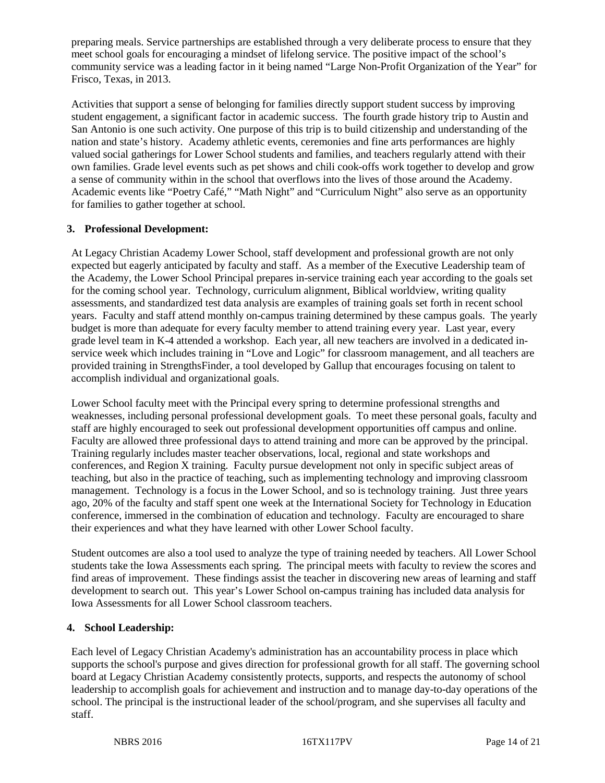preparing meals. Service partnerships are established through a very deliberate process to ensure that they meet school goals for encouraging a mindset of lifelong service. The positive impact of the school's community service was a leading factor in it being named "Large Non-Profit Organization of the Year" for Frisco, Texas, in 2013.

Activities that support a sense of belonging for families directly support student success by improving student engagement, a significant factor in academic success. The fourth grade history trip to Austin and San Antonio is one such activity. One purpose of this trip is to build citizenship and understanding of the nation and state's history. Academy athletic events, ceremonies and fine arts performances are highly valued social gatherings for Lower School students and families, and teachers regularly attend with their own families. Grade level events such as pet shows and chili cook-offs work together to develop and grow a sense of community within in the school that overflows into the lives of those around the Academy. Academic events like "Poetry Café," "Math Night" and "Curriculum Night" also serve as an opportunity for families to gather together at school.

# **3. Professional Development:**

At Legacy Christian Academy Lower School, staff development and professional growth are not only expected but eagerly anticipated by faculty and staff. As a member of the Executive Leadership team of the Academy, the Lower School Principal prepares in-service training each year according to the goals set for the coming school year. Technology, curriculum alignment, Biblical worldview, writing quality assessments, and standardized test data analysis are examples of training goals set forth in recent school years. Faculty and staff attend monthly on-campus training determined by these campus goals. The yearly budget is more than adequate for every faculty member to attend training every year. Last year, every grade level team in K-4 attended a workshop. Each year, all new teachers are involved in a dedicated inservice week which includes training in "Love and Logic" for classroom management, and all teachers are provided training in StrengthsFinder, a tool developed by Gallup that encourages focusing on talent to accomplish individual and organizational goals.

Lower School faculty meet with the Principal every spring to determine professional strengths and weaknesses, including personal professional development goals. To meet these personal goals, faculty and staff are highly encouraged to seek out professional development opportunities off campus and online. Faculty are allowed three professional days to attend training and more can be approved by the principal. Training regularly includes master teacher observations, local, regional and state workshops and conferences, and Region X training. Faculty pursue development not only in specific subject areas of teaching, but also in the practice of teaching, such as implementing technology and improving classroom management. Technology is a focus in the Lower School, and so is technology training. Just three years ago, 20% of the faculty and staff spent one week at the International Society for Technology in Education conference, immersed in the combination of education and technology. Faculty are encouraged to share their experiences and what they have learned with other Lower School faculty.

Student outcomes are also a tool used to analyze the type of training needed by teachers. All Lower School students take the Iowa Assessments each spring. The principal meets with faculty to review the scores and find areas of improvement. These findings assist the teacher in discovering new areas of learning and staff development to search out. This year's Lower School on-campus training has included data analysis for Iowa Assessments for all Lower School classroom teachers.

## **4. School Leadership:**

Each level of Legacy Christian Academy's administration has an accountability process in place which supports the school's purpose and gives direction for professional growth for all staff. The governing school board at Legacy Christian Academy consistently protects, supports, and respects the autonomy of school leadership to accomplish goals for achievement and instruction and to manage day-to-day operations of the school. The principal is the instructional leader of the school/program, and she supervises all faculty and staff.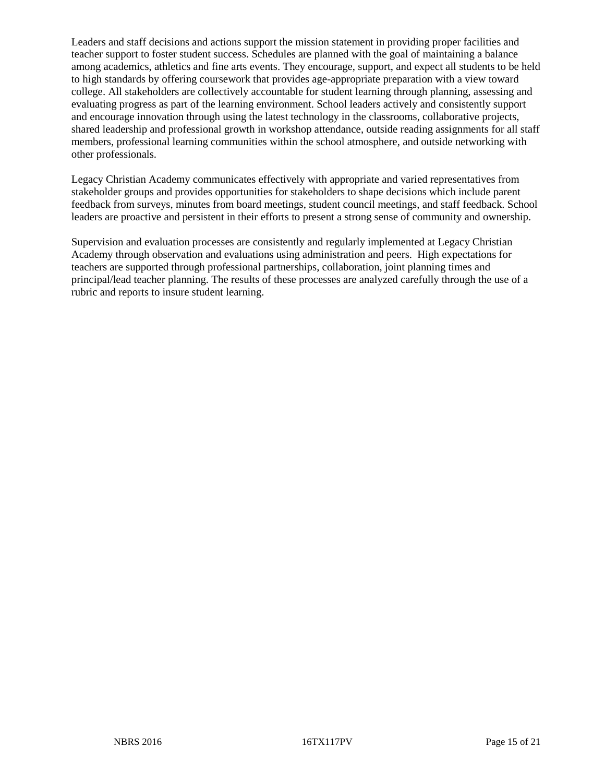Leaders and staff decisions and actions support the mission statement in providing proper facilities and teacher support to foster student success. Schedules are planned with the goal of maintaining a balance among academics, athletics and fine arts events. They encourage, support, and expect all students to be held to high standards by offering coursework that provides age-appropriate preparation with a view toward college. All stakeholders are collectively accountable for student learning through planning, assessing and evaluating progress as part of the learning environment. School leaders actively and consistently support and encourage innovation through using the latest technology in the classrooms, collaborative projects, shared leadership and professional growth in workshop attendance, outside reading assignments for all staff members, professional learning communities within the school atmosphere, and outside networking with other professionals.

Legacy Christian Academy communicates effectively with appropriate and varied representatives from stakeholder groups and provides opportunities for stakeholders to shape decisions which include parent feedback from surveys, minutes from board meetings, student council meetings, and staff feedback. School leaders are proactive and persistent in their efforts to present a strong sense of community and ownership.

Supervision and evaluation processes are consistently and regularly implemented at Legacy Christian Academy through observation and evaluations using administration and peers. High expectations for teachers are supported through professional partnerships, collaboration, joint planning times and principal/lead teacher planning. The results of these processes are analyzed carefully through the use of a rubric and reports to insure student learning.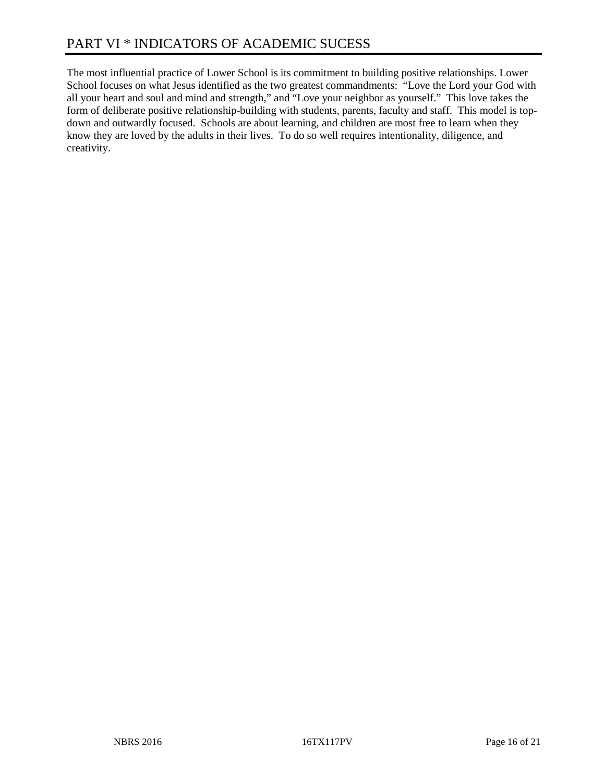The most influential practice of Lower School is its commitment to building positive relationships. Lower School focuses on what Jesus identified as the two greatest commandments: "Love the Lord your God with all your heart and soul and mind and strength," and "Love your neighbor as yourself." This love takes the form of deliberate positive relationship-building with students, parents, faculty and staff. This model is topdown and outwardly focused. Schools are about learning, and children are most free to learn when they know they are loved by the adults in their lives. To do so well requires intentionality, diligence, and creativity.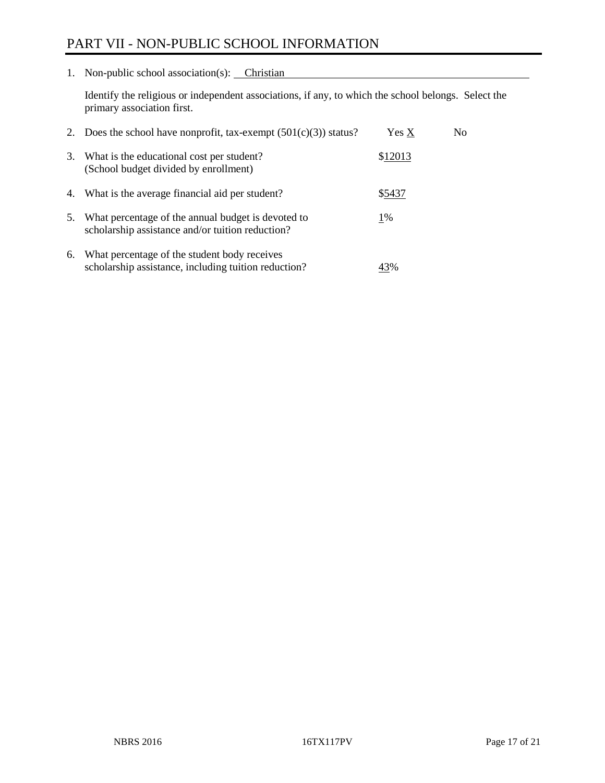# PART VII - NON-PUBLIC SCHOOL INFORMATION

1. Non-public school association(s): Christian

Identify the religious or independent associations, if any, to which the school belongs. Select the primary association first.

| 2. | Does the school have nonprofit, tax-exempt $(501(c)(3))$ status?                                       | Yes X   | No. |
|----|--------------------------------------------------------------------------------------------------------|---------|-----|
| 3. | What is the educational cost per student?<br>(School budget divided by enrollment)                     | \$12013 |     |
| 4. | What is the average financial aid per student?                                                         | \$5437  |     |
| 5. | What percentage of the annual budget is devoted to<br>scholarship assistance and/or tuition reduction? | 1%      |     |
| 6. | What percentage of the student body receives<br>scholarship assistance, including tuition reduction?   | 43%     |     |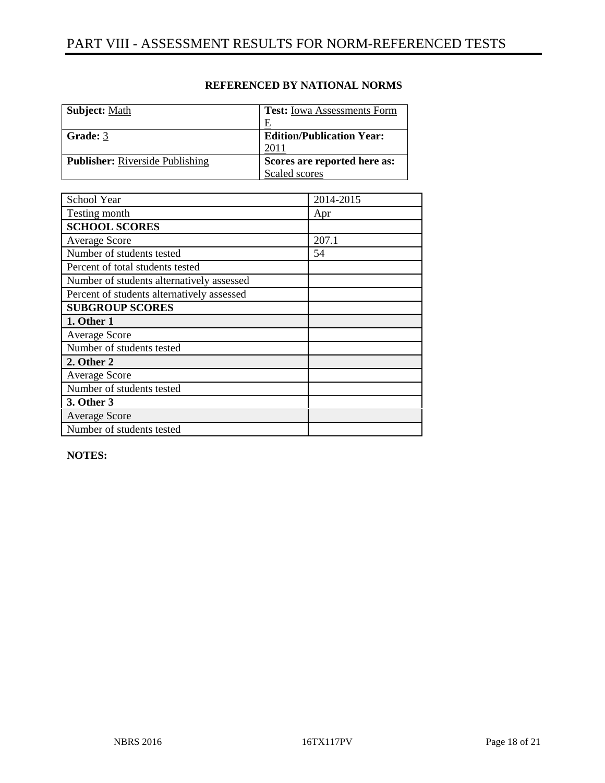| <b>Subject:</b> Math                   | <b>Test:</b> Iowa Assessments Form |
|----------------------------------------|------------------------------------|
|                                        |                                    |
| Grade: 3                               | <b>Edition/Publication Year:</b>   |
|                                        | 2011                               |
| <b>Publisher:</b> Riverside Publishing | Scores are reported here as:       |
|                                        | Scaled scores                      |

| School Year                                | 2014-2015 |
|--------------------------------------------|-----------|
| Testing month                              | Apr       |
| <b>SCHOOL SCORES</b>                       |           |
| <b>Average Score</b>                       | 207.1     |
| Number of students tested                  | 54        |
| Percent of total students tested           |           |
| Number of students alternatively assessed  |           |
| Percent of students alternatively assessed |           |
| <b>SUBGROUP SCORES</b>                     |           |
| 1. Other 1                                 |           |
| <b>Average Score</b>                       |           |
| Number of students tested                  |           |
| 2. Other 2                                 |           |
| <b>Average Score</b>                       |           |
| Number of students tested                  |           |
| 3. Other 3                                 |           |
| <b>Average Score</b>                       |           |
| Number of students tested                  |           |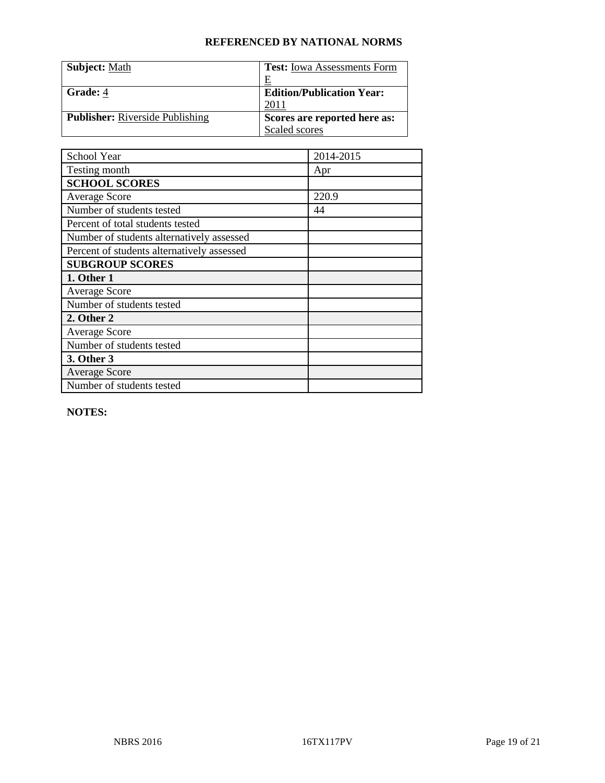| <b>Subject: Math</b>                   | <b>Test:</b> Iowa Assessments Form |
|----------------------------------------|------------------------------------|
|                                        | E                                  |
| Grade: 4                               | <b>Edition/Publication Year:</b>   |
|                                        | 2011                               |
| <b>Publisher:</b> Riverside Publishing | Scores are reported here as:       |
|                                        | Scaled scores                      |

| School Year                                | 2014-2015 |
|--------------------------------------------|-----------|
| Testing month                              | Apr       |
| <b>SCHOOL SCORES</b>                       |           |
| <b>Average Score</b>                       | 220.9     |
| Number of students tested                  | 44        |
| Percent of total students tested           |           |
| Number of students alternatively assessed  |           |
| Percent of students alternatively assessed |           |
| <b>SUBGROUP SCORES</b>                     |           |
| 1. Other 1                                 |           |
| <b>Average Score</b>                       |           |
| Number of students tested                  |           |
| 2. Other 2                                 |           |
| <b>Average Score</b>                       |           |
| Number of students tested                  |           |
| 3. Other 3                                 |           |
| <b>Average Score</b>                       |           |
| Number of students tested                  |           |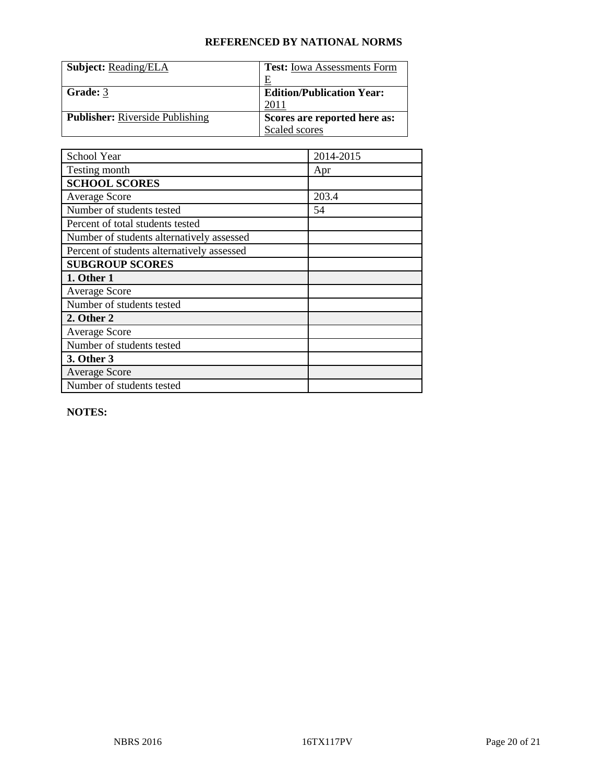| <b>Subject:</b> Reading/ELA            | <b>Test:</b> Iowa Assessments Form |
|----------------------------------------|------------------------------------|
|                                        | E                                  |
| Grade: 3                               | <b>Edition/Publication Year:</b>   |
|                                        | 2011                               |
| <b>Publisher:</b> Riverside Publishing | Scores are reported here as:       |
|                                        | Scaled scores                      |

| School Year                                | 2014-2015 |
|--------------------------------------------|-----------|
| Testing month                              | Apr       |
| <b>SCHOOL SCORES</b>                       |           |
| <b>Average Score</b>                       | 203.4     |
| Number of students tested                  | 54        |
| Percent of total students tested           |           |
| Number of students alternatively assessed  |           |
| Percent of students alternatively assessed |           |
| <b>SUBGROUP SCORES</b>                     |           |
| 1. Other 1                                 |           |
| Average Score                              |           |
| Number of students tested                  |           |
| 2. Other 2                                 |           |
| <b>Average Score</b>                       |           |
| Number of students tested                  |           |
| 3. Other 3                                 |           |
| <b>Average Score</b>                       |           |
| Number of students tested                  |           |